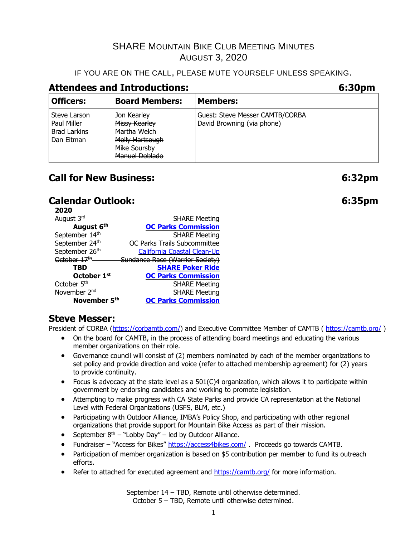### IF YOU ARE ON THE CALL, PLEASE MUTE YOURSELF UNLESS SPEAKING.

### **Attendees and Introductions: 6:30pm**

| <b>Officers:</b>                                                 | <b>Board Members:</b>                                                                                    | <b>Members:</b>                                               |  |  |  |
|------------------------------------------------------------------|----------------------------------------------------------------------------------------------------------|---------------------------------------------------------------|--|--|--|
| Steve Larson<br>Paul Miller<br><b>Brad Larkins</b><br>Dan Eitman | Jon Kearley<br>Missy Kearley<br>Martha Welch<br>Molly Hartsough<br>Mike Soursby<br><b>Manuel Doblado</b> | Guest: Steve Messer CAMTB/CORBA<br>David Browning (via phone) |  |  |  |

## **Call for New Business: 6:32pm**

# **Calendar Outlook: 6:35pm**

| 2020                     |                                 |
|--------------------------|---------------------------------|
| August 3rd               | <b>SHARE Meeting</b>            |
| August 6th               | <b>OC Parks Commission</b>      |
| September 14th           | <b>SHARE Meeting</b>            |
| September 24th           | OC Parks Trails Subcommittee    |
| September 26th           | California Coastal Clean-Up     |
| October 17 <sup>th</sup> | Sundance Race (Warrior Society) |
| <b>TBD</b>               | <b>SHARE Poker Ride</b>         |
| October 1 <sup>st</sup>  | <b>OC Parks Commission</b>      |
| October 5 <sup>th</sup>  | <b>SHARE Meeting</b>            |
| November 2 <sup>nd</sup> | <b>SHARE Meeting</b>            |
| November 5 <sup>th</sup> | <b>OC Parks Commission</b>      |

# **Steve Messer:**

President of CORBA [\(https://corbamtb.com/\)](https://corbamtb.com/) and Executive Committee Member of CAMTB (<https://camtb.org/>)

- On the board for CAMTB, in the process of attending board meetings and educating the various member organizations on their role.
- Governance council will consist of (2) members nominated by each of the member organizations to set policy and provide direction and voice (refer to attached membership agreement) for (2) years to provide continuity.
- Focus is advocacy at the state level as a 501(C)4 organization, which allows it to participate within government by endorsing candidates and working to promote legislation.
- Attempting to make progress with CA State Parks and provide CA representation at the National Level with Federal Organizations (USFS, BLM, etc.)
- Participating with Outdoor Alliance, IMBA's Policy Shop, and participating with other regional organizations that provide support for Mountain Bike Access as part of their mission.
- September  $8<sup>th</sup>$  "Lobby Day" led by Outdoor Alliance.
- Fundraiser "Access for Bikes" <https://access4bikes.com/> Proceeds go towards CAMTB.
- Participation of member organization is based on \$5 contribution per member to fund its outreach efforts.
- Refer to attached for executed agreement and<https://camtb.org/> for more information.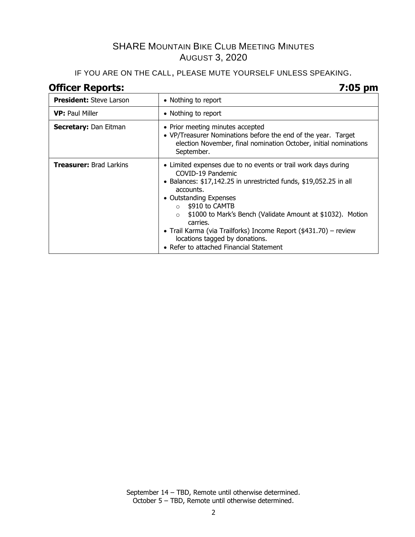IF YOU ARE ON THE CALL, PLEASE MUTE YOURSELF UNLESS SPEAKING.

# **Officer Reports: 7:05 pm**

| <b>President:</b> Steve Larson | • Nothing to report                                                                                                                                                                                                                                                                                                                                                                                                                                               |
|--------------------------------|-------------------------------------------------------------------------------------------------------------------------------------------------------------------------------------------------------------------------------------------------------------------------------------------------------------------------------------------------------------------------------------------------------------------------------------------------------------------|
| <b>VP:</b> Paul Miller         | • Nothing to report                                                                                                                                                                                                                                                                                                                                                                                                                                               |
| Secretary: Dan Eitman          | • Prior meeting minutes accepted<br>• VP/Treasurer Nominations before the end of the year. Target<br>election November, final nomination October, initial nominations<br>September.                                                                                                                                                                                                                                                                               |
| <b>Treasurer: Brad Larkins</b> | • Limited expenses due to no events or trail work days during<br>COVID-19 Pandemic<br>• Balances: \$17,142.25 in unrestricted funds, \$19,052.25 in all<br>accounts.<br>• Outstanding Expenses<br>\$910 to CAMTB<br>$\circ$<br>\$1000 to Mark's Bench (Validate Amount at \$1032). Motion<br>$\circ$<br>carries.<br>• Trail Karma (via Trailforks) Income Report (\$431.70) - review<br>locations tagged by donations.<br>• Refer to attached Financial Statement |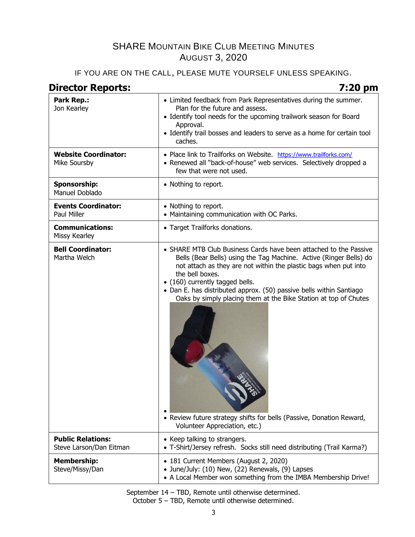IF YOU ARE ON THE CALL, PLEASE MUTE YOURSELF UNLESS SPEAKING.

| <b>Director Reports:</b> |
|--------------------------|
|                          |

**Director Reports: 7:20 pm**

| <b>Park Rep.:</b><br>Jon Kearley                    | • Limited feedback from Park Representatives during the summer.<br>Plan for the future and assess.<br>• Identify tool needs for the upcoming trailwork season for Board<br>Approval.<br>• Identify trail bosses and leaders to serve as a home for certain tool<br>caches.                                                                                                                                                                                                                                            |
|-----------------------------------------------------|-----------------------------------------------------------------------------------------------------------------------------------------------------------------------------------------------------------------------------------------------------------------------------------------------------------------------------------------------------------------------------------------------------------------------------------------------------------------------------------------------------------------------|
| <b>Website Coordinator:</b><br>Mike Soursby         | • Place link to Trailforks on Website. https://www.trailforks.com/<br>• Renewed all "back-of-house" web services. Selectively dropped a<br>few that were not used.                                                                                                                                                                                                                                                                                                                                                    |
| <b>Sponsorship:</b><br>Manuel Doblado               | • Nothing to report.                                                                                                                                                                                                                                                                                                                                                                                                                                                                                                  |
| <b>Events Coordinator:</b><br>Paul Miller           | • Nothing to report.<br>• Maintaining communication with OC Parks.                                                                                                                                                                                                                                                                                                                                                                                                                                                    |
| <b>Communications:</b><br>Missy Kearley             | • Target Trailforks donations.                                                                                                                                                                                                                                                                                                                                                                                                                                                                                        |
| <b>Bell Coordinator:</b><br>Martha Welch            | • SHARE MTB Club Business Cards have been attached to the Passive<br>Bells (Bear Bells) using the Tag Machine. Active (Ringer Bells) do<br>not attach as they are not within the plastic bags when put into<br>the bell boxes.<br>• (160) currently tagged bells.<br>• Dan E. has distributed approx. (50) passive bells within Santiago<br>Oaks by simply placing them at the Bike Station at top of Chutes<br>• Review future strategy shifts for bells (Passive, Donation Reward,<br>Volunteer Appreciation, etc.) |
| <b>Public Relations:</b><br>Steve Larson/Dan Eitman | • Keep talking to strangers.<br>• T-Shirt/Jersey refresh. Socks still need distributing (Trail Karma?)                                                                                                                                                                                                                                                                                                                                                                                                                |
| <b>Membership:</b><br>Steve/Missy/Dan               | • 181 Current Members (August 2, 2020)<br>• June/July: (10) New, (22) Renewals, (9) Lapses<br>• A Local Member won something from the IMBA Membership Drive!                                                                                                                                                                                                                                                                                                                                                          |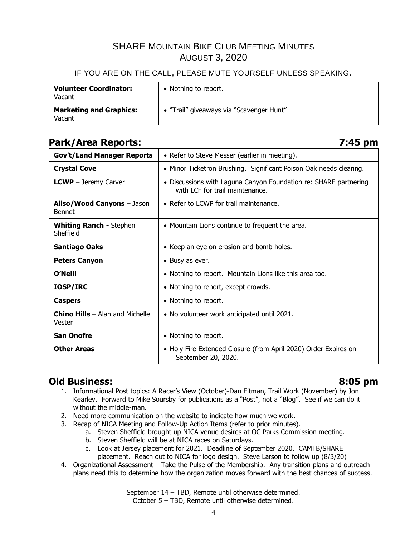### IF YOU ARE ON THE CALL, PLEASE MUTE YOURSELF UNLESS SPEAKING.

| <b>Volunteer Coordinator:</b><br>Vacant  | • Nothing to report.                     |
|------------------------------------------|------------------------------------------|
| <b>Marketing and Graphics:</b><br>Vacant | • "Trail" giveaways via "Scavenger Hunt" |

### **Park/Area Reports: 7:45 pm**

### **Gov't/Land Manager Reports**  $\cdot$  Refer to Steve Messer (earlier in meeting). **Crystal Cove • Minor Ticketron Brushing. Significant Poison Oak needs clearing. LCWP** – Jeremy Carver **• Discussions with Laguna Canyon Foundation re: SHARE partnering** with LCF for trail maintenance. **Aliso/Wood Canyons** – Jason Bennet • Refer to LCWP for trail maintenance. **Whiting Ranch -** Stephen **Sheffield** • Mountain Lions continue to frequent the area. **Santiago Oaks • Keep an eye on erosion and bomb holes. Peters Canyon • Busy as ever. O'Neill •** Nothing to report. Mountain Lions like this area too. **IOSP/IRC** • Nothing to report, except crowds. **Caspers** • Nothing to report. **Chino Hills** – Alan and Michelle Vester • No volunteer work anticipated until 2021. **San Onofre • Nothing to report. Other Areas • Holy Fire Extended Closure (from April 2020) Order Expires on** September 20, 2020.

### **Old Business: 8:05 pm**

- 1. Informational Post topics: A Racer's View (October)-Dan Eitman, Trail Work (November) by Jon Kearley. Forward to Mike Soursby for publications as a "Post", not a "Blog". See if we can do it without the middle-man.
- 2. Need more communication on the website to indicate how much we work.
- 3. Recap of NICA Meeting and Follow-Up Action Items (refer to prior minutes).
	- a. Steven Sheffield brought up NICA venue desires at OC Parks Commission meeting.
		- b. Steven Sheffield will be at NICA races on Saturdays.
	- c. Look at Jersey placement for 2021. Deadline of September 2020. CAMTB/SHARE placement. Reach out to NICA for logo design. Steve Larson to follow up (8/3/20)
- 4. Organizational Assessment Take the Pulse of the Membership. Any transition plans and outreach plans need this to determine how the organization moves forward with the best chances of success.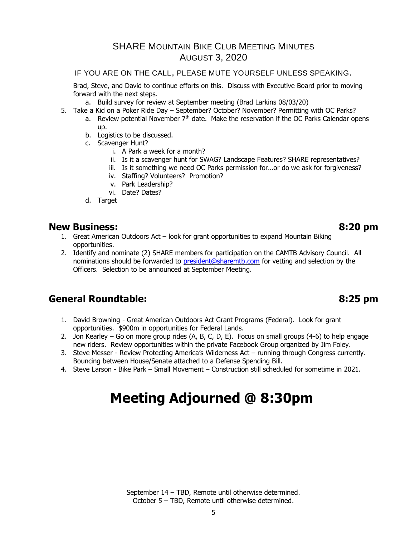IF YOU ARE ON THE CALL, PLEASE MUTE YOURSELF UNLESS SPEAKING.

Brad, Steve, and David to continue efforts on this. Discuss with Executive Board prior to moving forward with the next steps.

- a. Build survey for review at September meeting (Brad Larkins 08/03/20)
- 5. Take a Kid on a Poker Ride Day September? October? November? Permitting with OC Parks?
	- a. Review potential November  $7<sup>th</sup>$  date. Make the reservation if the OC Parks Calendar opens up.
	- b. Logistics to be discussed.
	- c. Scavenger Hunt?
		- i. A Park a week for a month?
		- ii. Is it a scavenger hunt for SWAG? Landscape Features? SHARE representatives?
		- iii. Is it something we need OC Parks permission for…or do we ask for forgiveness?
		- iv. Staffing? Volunteers? Promotion?
		- v. Park Leadership?
		- vi. Date? Dates?
	- d. Target

### **New Business: 8:20 pm**

- 1. Great American Outdoors Act look for grant opportunities to expand Mountain Biking opportunities.
- 2. Identify and nominate (2) SHARE members for participation on the CAMTB Advisory Council. All nominations should be forwarded to [president@sharemtb.com](mailto:president@sharemtb.com) for vetting and selection by the Officers. Selection to be announced at September Meeting.

### **General Roundtable: 8:25 pm**

- 1. David Browning Great American Outdoors Act Grant Programs (Federal). Look for grant opportunities. \$900m in opportunities for Federal Lands.
- 2. Jon Kearley Go on more group rides (A, B, C, D, E). Focus on small groups (4-6) to help engage new riders. Review opportunities within the private Facebook Group organized by Jim Foley.
- 3. Steve Messer Review Protecting America's Wilderness Act running through Congress currently. Bouncing between House/Senate attached to a Defense Spending Bill.
- 4. Steve Larson Bike Park Small Movement Construction still scheduled for sometime in 2021.

# **Meeting Adjourned @ 8:30pm**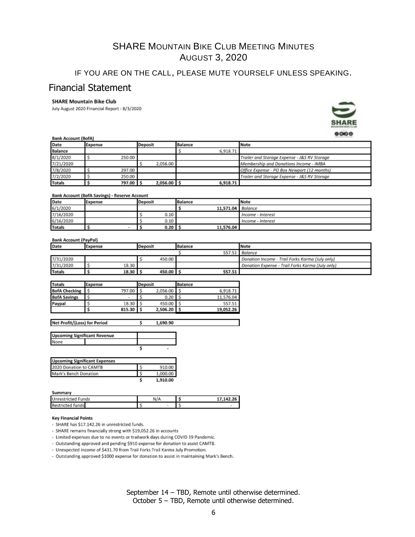### IF YOU ARE ON THE CALL, PLEASE MUTE YOURSELF UNLESS SPEAKING.

### Financial Statement

### **SHARE Mountain Bike Club**

July August 2020 Financial Report - 8/3/2020



| <b>Bank Account (BofA)</b> |                |           |         |             |         |          | <b>0000</b>                                  |
|----------------------------|----------------|-----------|---------|-------------|---------|----------|----------------------------------------------|
| Date                       | <b>Expense</b> |           | Deposit |             | Balance |          | Note                                         |
| Balance                    |                |           |         |             |         | 6,918.71 |                                              |
| 8/1/2020                   |                | 250.00    |         |             |         |          | Trailer and Storage Expense - J&S RV Storage |
| 7/21/2020                  |                |           |         | 2,056.00    |         |          | Membership and Donations Income - IMBA       |
| 7/8/2020                   |                | 297.00    |         |             |         |          | Office Expense - PO Box Newport (12 months)  |
| 7/2/2020                   |                | 250.00    |         |             |         |          | Trailer and Storage Expense - J&S RV Storage |
| <b>Totals</b>              |                | 797.00 \$ |         | 2,056.00 \$ |         | 6,918.71 |                                              |

### Bank Account (BofA Savings) - Reserve Account

| Date          | Expense | Deposit | Balance           | Note              |
|---------------|---------|---------|-------------------|-------------------|
| 6/1/2020      |         |         | 11,571.04 Balance |                   |
| 7/16/2020     |         | 0.10    |                   | Income - Interest |
| 6/16/2020     |         | 0.10    |                   | Income - Interest |
| <b>Totals</b> |         | 0.20    | 11,576.04         |                   |

### **Bank Account (PayPal)**

| Date          | Expense | <b>Deposit</b> | <b>Balance</b> | <b>Note</b>                                      |
|---------------|---------|----------------|----------------|--------------------------------------------------|
|               |         |                |                | 557.51 Balance                                   |
| 7/31/2020     |         | 450.00         |                | Donation Income - Trail Forks Karma (July only)  |
| 7/31/2020     | 18.30   |                |                | Donation Expense - Trail Forks Karma (July only) |
| <b>Totals</b> | 18.30   | 450.00         | 557.51         |                                                  |

| <b>Totals</b>       | Expense |        | Deposit |               | Balance |           |
|---------------------|---------|--------|---------|---------------|---------|-----------|
| BofA Checking   S   |         | 797.00 |         | $2.056.00$ S  |         | 6,918.71  |
| <b>BofA Savings</b> |         |        |         | 0.20          |         | 11,576.04 |
| Paypal              |         | 18.30  |         | 450.00        |         | 557.51    |
|                     |         | 815.30 |         | $2,506.20$ \$ |         | 19,052.26 |

Net Profit/(Loss) for Period 1,690.90 \$.

| <b>Upcoming Significant Revenue</b> |  |  |
|-------------------------------------|--|--|
| None                                |  |  |
|                                     |  |  |

| <b>Upcoming Significant Expenses</b> |          |
|--------------------------------------|----------|
| 2020 Donation to CAMTB               | 910.00   |
| Mark's Bench Donation                | 1.000.00 |
|                                      | 1910.00  |

| Summary |
|---------|
|---------|

| ------------              |     |           |
|---------------------------|-----|-----------|
| <b>Unrestricted Funds</b> | N/A | 17.142.26 |
| <b>Restricted funds</b>   |     |           |
|                           |     |           |

### **Key Financial Points**

- SHARE has \$17.142.26 in unrestricted funds.

- SHARE remains financially strong with \$19,052.26 in accounts

- Limited expenses due to no events or trailwork days during COVID 19 Pandemic.

- Outstanding approved and pending \$910 expense for donation to assist CAMTB.

- Unexpected income of \$431.70 from Trail Forks Trail Karma July Promotion.

- Outstanding approved \$1000 expense for donation to assist in maintaining Mark's Bench.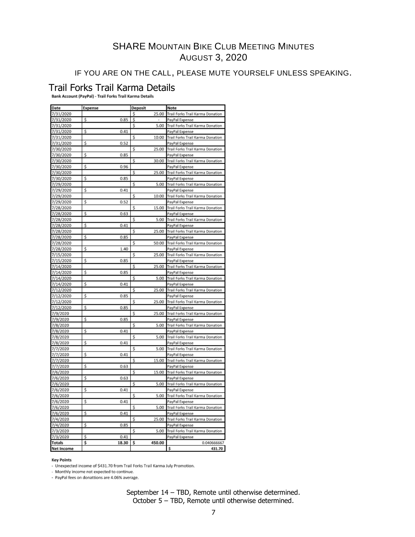### IF YOU ARE ON THE CALL, PLEASE MUTE YOURSELF UNLESS SPEAKING.

# **Trail Forks Trail Karma Details**<br>Bank Account (PayPal) - Trail Forks Trail Karma Details

| Date       | Expense |       | Deposit |        | Note                             |
|------------|---------|-------|---------|--------|----------------------------------|
| 7/31/2020  |         |       | \$      | 25.00  | Trail Forks Trail Karma Donation |
| 7/31/2020  | Ś       | 0.85  | \$      |        | PayPal Expense                   |
| 7/31/2020  |         |       | \$      | 5.00   | Trail Forks Trail Karma Donation |
| 7/31/2020  | \$      | 0.41  |         |        | PayPal Expense                   |
| 7/31/2020  |         |       | \$      | 10.00  | Trail Forks Trail Karma Donation |
| 7/31/2020  | Ś       | 0.52  |         |        | PayPal Expense                   |
| 7/30/2020  |         |       | \$      | 25.00  | Trail Forks Trail Karma Donation |
| 7/30/2020  | \$      | 0.85  |         |        | PayPal Expense                   |
| 7/30/2020  |         |       | \$      | 30.00  | Trail Forks Trail Karma Donation |
| 7/30/2020  | Ś       | 0.96  |         |        | PayPal Expense                   |
| 7/30/2020  |         |       | \$      | 25.00  | Trail Forks Trail Karma Donation |
| 7/30/2020  | \$      | 0.85  |         |        | PayPal Expense                   |
| 7/29/2020  |         |       | Ś.      | 5.00   | Trail Forks Trail Karma Donation |
|            | \$      | 0.41  |         |        |                                  |
| 7/29/2020  |         |       | Ś       |        | PayPal Expense                   |
| 7/29/2020  |         |       |         | 10.00  | Trail Forks Trail Karma Donation |
| 7/29/2020  | \$      | 0.52  |         |        | PayPal Expense                   |
| 7/28/2020  |         |       | \$      | 15.00  | Trail Forks Trail Karma Donation |
| 7/28/2020  | \$      | 0.63  |         |        | PayPal Expense                   |
| 7/28/2020  |         |       | Ś       | 5.00   | Trail Forks Trail Karma Donation |
| 7/28/2020  | Ś.      | 0.41  |         |        | PayPal Expense                   |
| 7/28/2020  |         |       | \$      | 25.00  | Trail Forks Trail Karma Donation |
| 7/28/2020  | Ś       | 0.85  |         |        | PayPal Expense                   |
| 7/28/2020  |         |       | \$      | 50.00  | Trail Forks Trail Karma Donation |
| 7/28/2020  | Ś       | 1.40  |         |        | PayPal Expense                   |
| 7/15/2020  |         |       | \$      | 25.00  | Trail Forks Trail Karma Donation |
| 7/15/2020  | \$      | 0.85  |         |        | PayPal Expense                   |
| 7/14/2020  |         |       | Ś.      | 25.00  | Trail Forks Trail Karma Donation |
| 7/14/2020  | \$      | 0.85  |         |        | PayPal Expense                   |
| 7/14/2020  |         |       | \$      | 5.00   | Trail Forks Trail Karma Donation |
| 7/14/2020  | \$      | 0.41  |         |        | PayPal Expense                   |
| 7/12/2020  |         |       | Ś       | 25.00  | Trail Forks Trail Karma Donation |
| 7/12/2020  | \$      | 0.85  |         |        | PayPal Expense                   |
| 7/12/2020  |         |       | Ś       | 25.00  | Trail Forks Trail Karma Donation |
| 7/12/2020  | \$      | 0.85  |         |        | PayPal Expense                   |
| 7/9/2020   |         |       | Ś       | 25.00  | Trail Forks Trail Karma Donation |
| 7/9/2020   | \$      | 0.85  |         |        | PayPal Expense                   |
| 7/8/2020   |         |       | \$      | 5.00   | Trail Forks Trail Karma Donation |
|            | Ś       | 0.41  |         |        |                                  |
| 7/8/2020   |         |       |         |        | PayPal Expense                   |
| 7/8/2020   |         |       | \$      | 5.00   | Trail Forks Trail Karma Donation |
| 7/8/2020   | \$      | 0.41  |         |        | PayPal Expense                   |
| 7/7/2020   |         |       | \$      | 5.00   | Trail Forks Trail Karma Donation |
| 7/7/2020   | Ś       | 0.41  |         |        | PayPal Expense                   |
| 7/7/2020   |         |       | \$      | 15.00  | Trail Forks Trail Karma Donation |
| 7/7/2020   | Ś.      | 0.63  |         |        | PayPal Expense                   |
| 7/6/2020   |         |       | \$      | 15.00  | Trail Forks Trail Karma Donation |
| 7/6/2020   | \$      | 0.63  |         |        | PayPal Expense                   |
| 7/6/2020   |         |       | \$      | 5.00   | Trail Forks Trail Karma Donation |
| 7/6/2020   | \$      | 0.41  |         |        | PayPal Expense                   |
| 7/6/2020   |         |       | Ś       | 5.00   | Trail Forks Trail Karma Donation |
| 7/6/2020   | \$      | 0.41  |         |        | PayPal Expense                   |
| 7/6/2020   |         |       | \$      | 5.00   | Trail Forks Trail Karma Donation |
| 7/6/2020   | \$      | 0.41  |         |        | PayPal Expense                   |
| 7/4/2020   |         |       | Ś       | 25.00  | Trail Forks Trail Karma Donation |
| 7/4/2020   | \$      | 0.85  |         |        | PayPal Expense                   |
| 7/3/2020   |         |       | \$      | 5.00   | Trail Forks Trail Karma Donation |
| 7/3/2020   | \$      | 0.41  |         |        | PayPal Expense                   |
| Totals     | \$      | 18.30 | \$      | 450.00 | 0.040666667                      |
| Net Income |         |       |         |        | \$<br>431.70                     |
|            |         |       |         |        |                                  |

### **Key Points**

- Unexpected income of \$431.70 from Trail Forks Trail Karma July Promotion.

- Monthly income not expected to continue.

- PayPal fees on donattions are 4.06% average.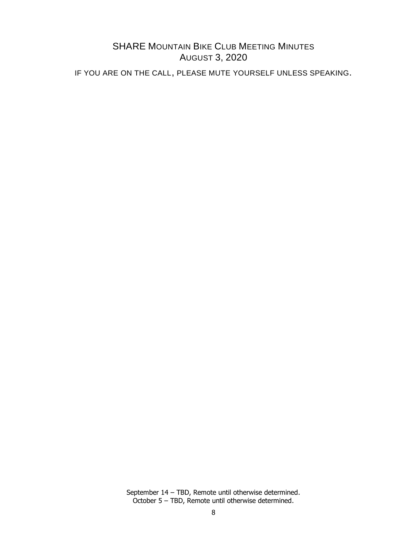IF YOU ARE ON THE CALL, PLEASE MUTE YOURSELF UNLESS SPEAKING.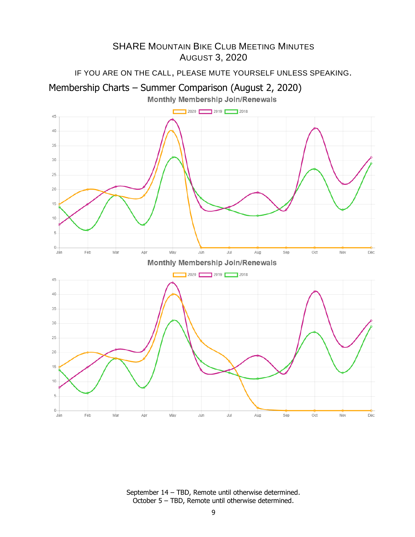IF YOU ARE ON THE CALL, PLEASE MUTE YOURSELF UNLESS SPEAKING.



**Monthly Membership Join/Renewals**  $2020$  2019 2018 45  $40<sup>°</sup>$ 35 30 25 20  $15$  $10<sub>1</sub>$  $\overline{5}$  $0\hbox{-}$  $Jul$ Nov Mar Apr May Jun Aug  $Sep$ Jan Feb Oct Dec **Monthly Membership Join/Renewals**  $\sqrt{2020}$  2019  $\sqrt{2018}$  2018